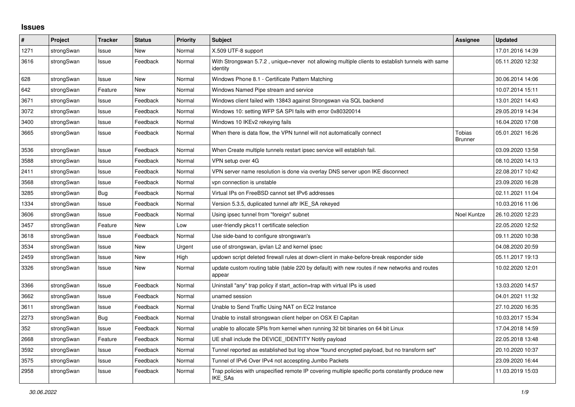## **Issues**

| #    | Project    | <b>Tracker</b> | <b>Status</b> | <b>Priority</b> | <b>Subject</b>                                                                                               | Assignee                        | <b>Updated</b>   |
|------|------------|----------------|---------------|-----------------|--------------------------------------------------------------------------------------------------------------|---------------------------------|------------------|
| 1271 | strongSwan | Issue          | <b>New</b>    | Normal          | X.509 UTF-8 support                                                                                          |                                 | 17.01.2016 14:39 |
| 3616 | strongSwan | Issue          | Feedback      | Normal          | With Strongswan 5.7.2, unique=never not allowing multiple clients to establish tunnels with same<br>identity |                                 | 05.11.2020 12:32 |
| 628  | strongSwan | Issue          | <b>New</b>    | Normal          | Windows Phone 8.1 - Certificate Pattern Matching                                                             |                                 | 30.06.2014 14:06 |
| 642  | strongSwan | Feature        | <b>New</b>    | Normal          | Windows Named Pipe stream and service                                                                        |                                 | 10.07.2014 15:11 |
| 3671 | strongSwan | Issue          | Feedback      | Normal          | Windows client failed with 13843 against Strongswan via SQL backend                                          |                                 | 13.01.2021 14:43 |
| 3072 | strongSwan | Issue          | Feedback      | Normal          | Windows 10: setting WFP SA SPI fails with error 0x80320014                                                   |                                 | 29.05.2019 14:34 |
| 3400 | strongSwan | Issue          | Feedback      | Normal          | Windows 10 IKEv2 rekeying fails                                                                              |                                 | 16.04.2020 17:08 |
| 3665 | strongSwan | Issue          | Feedback      | Normal          | When there is data flow, the VPN tunnel will not automatically connect                                       | <b>Tobias</b><br><b>Brunner</b> | 05.01.2021 16:26 |
| 3536 | strongSwan | Issue          | Feedback      | Normal          | When Create multiple tunnels restart ipsec service will establish fail.                                      |                                 | 03.09.2020 13:58 |
| 3588 | strongSwan | Issue          | Feedback      | Normal          | VPN setup over 4G                                                                                            |                                 | 08.10.2020 14:13 |
| 2411 | strongSwan | Issue          | Feedback      | Normal          | VPN server name resolution is done via overlay DNS server upon IKE disconnect                                |                                 | 22.08.2017 10:42 |
| 3568 | strongSwan | Issue          | Feedback      | Normal          | vpn connection is unstable                                                                                   |                                 | 23.09.2020 16:28 |
| 3285 | strongSwan | <b>Bug</b>     | Feedback      | Normal          | Virtual IPs on FreeBSD cannot set IPv6 addresses                                                             |                                 | 02.11.2021 11:04 |
| 1334 | strongSwan | Issue          | Feedback      | Normal          | Version 5.3.5, duplicated tunnel aftr IKE SA rekeyed                                                         |                                 | 10.03.2016 11:06 |
| 3606 | strongSwan | Issue          | Feedback      | Normal          | Using ipsec tunnel from "foreign" subnet                                                                     | Noel Kuntze                     | 26.10.2020 12:23 |
| 3457 | strongSwan | Feature        | New           | Low             | user-friendly pkcs11 certificate selection                                                                   |                                 | 22.05.2020 12:52 |
| 3618 | strongSwan | Issue          | Feedback      | Normal          | Use side-band to configure strongswan's                                                                      |                                 | 09.11.2020 10:38 |
| 3534 | strongSwan | Issue          | <b>New</b>    | Urgent          | use of strongswan, ipvlan L2 and kernel ipsec                                                                |                                 | 04.08.2020 20:59 |
| 2459 | strongSwan | Issue          | <b>New</b>    | High            | updown script deleted firewall rules at down-client in make-before-break responder side                      |                                 | 05.11.2017 19:13 |
| 3326 | strongSwan | Issue          | <b>New</b>    | Normal          | update custom routing table (table 220 by default) with new routes if new networks and routes<br>appear      |                                 | 10.02.2020 12:01 |
| 3366 | strongSwan | Issue          | Feedback      | Normal          | Uninstall "any" trap policy if start action=trap with virtual IPs is used                                    |                                 | 13.03.2020 14:57 |
| 3662 | strongSwan | Issue          | Feedback      | Normal          | unamed session                                                                                               |                                 | 04.01.2021 11:32 |
| 3611 | strongSwan | Issue          | Feedback      | Normal          | Unable to Send Traffic Using NAT on EC2 Instance                                                             |                                 | 27.10.2020 16:35 |
| 2273 | strongSwan | <b>Bug</b>     | Feedback      | Normal          | Unable to install strongswan client helper on OSX El Capitan                                                 |                                 | 10.03.2017 15:34 |
| 352  | strongSwan | Issue          | Feedback      | Normal          | unable to allocate SPIs from kernel when running 32 bit binaries on 64 bit Linux                             |                                 | 17.04.2018 14:59 |
| 2668 | strongSwan | Feature        | Feedback      | Normal          | UE shall include the DEVICE IDENTITY Notify payload                                                          |                                 | 22.05.2018 13:48 |
| 3592 | strongSwan | Issue          | Feedback      | Normal          | Tunnel reported as established but log show "found encrypted payload, but no transform set"                  |                                 | 20.10.2020 10:37 |
| 3575 | strongSwan | Issue          | Feedback      | Normal          | Tunnel of IPv6 Over IPv4 not accespting Jumbo Packets                                                        |                                 | 23.09.2020 16:44 |
| 2958 | strongSwan | Issue          | Feedback      | Normal          | Trap policies with unspecified remote IP covering multiple specific ports constantly produce new<br>IKE_SAs  |                                 | 11.03.2019 15:03 |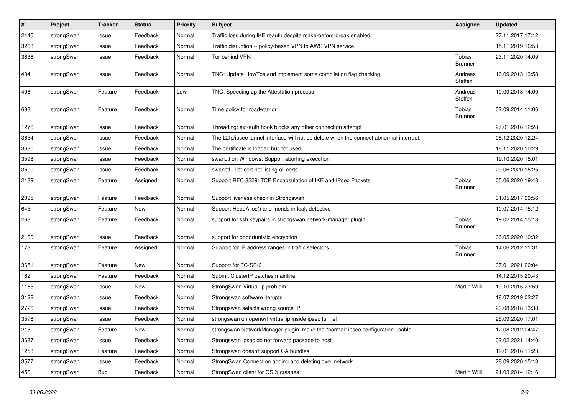| $\sharp$ | Project    | <b>Tracker</b> | <b>Status</b> | <b>Priority</b> | <b>Subject</b>                                                                          | <b>Assignee</b>          | <b>Updated</b>   |
|----------|------------|----------------|---------------|-----------------|-----------------------------------------------------------------------------------------|--------------------------|------------------|
| 2446     | strongSwan | Issue          | Feedback      | Normal          | Traffic loss during IKE reauth despite make-before-break enabled                        |                          | 27.11.2017 17:12 |
| 3268     | strongSwan | Issue          | Feedback      | Normal          | Traffic disruption -- policy-based VPN to AWS VPN service                               |                          | 15.11.2019 16:53 |
| 3636     | strongSwan | Issue          | Feedback      | Normal          | Tor behind VPN                                                                          | Tobias<br><b>Brunner</b> | 23.11.2020 14:09 |
| 404      | strongSwan | Issue          | Feedback      | Normal          | TNC: Update HowTos and implement some compilation flag checking                         | Andreas<br>Steffen       | 10.09.2013 13:58 |
| 406      | strongSwan | Feature        | Feedback      | Low             | TNC: Speeding up the Attestation process                                                | Andreas<br>Steffen       | 10.09.2013 14:00 |
| 693      | strongSwan | Feature        | Feedback      | Normal          | Time policy for roadwarrior                                                             | Tobias<br><b>Brunner</b> | 02.09.2014 11:06 |
| 1276     | strongSwan | Issue          | Feedback      | Normal          | Threading: ext-auth hook blocks any other connection attempt                            |                          | 27.01.2016 12:28 |
| 3654     | strongSwan | Issue          | Feedback      | Normal          | The L2tp/ipsec tunnel interface will not be delete when the connect abnormal interrupt. |                          | 08.12.2020 12:24 |
| 3630     | strongSwan | Issue          | Feedback      | Normal          | The certificate is loaded but not used.                                                 |                          | 18.11.2020 10:29 |
| 3598     | strongSwan | Issue          | Feedback      | Normal          | swanctl on Windows: Support aborting execution                                          |                          | 19.10.2020 15:01 |
| 3500     | strongSwan | Issue          | Feedback      | Normal          | swanctl --list-cert not listing all certs                                               |                          | 29.06.2020 15:25 |
| 2189     | strongSwan | Feature        | Assigned      | Normal          | Support RFC 8229: TCP Encapsulation of IKE and IPsec Packets                            | Tobias<br>Brunner        | 05.06.2020 19:48 |
| 2095     | strongSwan | Feature        | Feedback      | Normal          | Support liveness check in Strongswan                                                    |                          | 31.05.2017 00:56 |
| 645      | strongSwan | Feature        | New           | Normal          | Support HeapAlloc() and friends in leak-detective                                       |                          | 10.07.2014 15:12 |
| 268      | strongSwan | Feature        | Feedback      | Normal          | support for ssh keypairs in strongswan network-manager plugin                           | <b>Tobias</b><br>Brunner | 19.02.2014 15:13 |
| 2160     | strongSwan | Issue          | Feedback      | Normal          | support for opportunistic encryption                                                    |                          | 06.05.2020 10:32 |
| 173      | strongSwan | Feature        | Assigned      | Normal          | Support for IP address ranges in traffic selectors                                      | Tobias<br><b>Brunner</b> | 14.06.2012 11:31 |
| 3651     | strongSwan | Feature        | New           | Normal          | Support for FC-SP-2                                                                     |                          | 07.01.2021 20:04 |
| 162      | strongSwan | Feature        | Feedback      | Normal          | Submit ClusterIP patches mainline                                                       |                          | 14.12.2015 20:43 |
| 1165     | strongSwan | Issue          | New           | Normal          | StrongSwan Virtual Ip problem                                                           | Martin Willi             | 19.10.2015 23:59 |
| 3122     | strongSwan | Issue          | Feedback      | Normal          | Strongswan software iterupts                                                            |                          | 18.07.2019 02:27 |
| 2726     | strongSwan | Issue          | Feedback      | Normal          | Strongswan selects wrong source IP                                                      |                          | 23.08.2018 13:38 |
| 3576     | strongSwan | Issue          | Feedback      | Normal          | strongswan on openwrt virtual ip inside ipsec tunnel                                    |                          | 25.09.2020 17:01 |
| 215      | strongSwan | Feature        | New           | Normal          | strongswan NetworkManager plugin: make the "normal" ipsec configuration usable          |                          | 12.08.2012 04:47 |
| 3687     | strongSwan | Issue          | Feedback      | Normal          | Strongswan ipsec do not forward package to host                                         |                          | 02.02.2021 14:40 |
| 1253     | strongSwan | Feature        | Feedback      | Normal          | Strongswan doesn't support CA bundles                                                   |                          | 19.01.2016 11:23 |
| 3577     | strongSwan | Issue          | Feedback      | Normal          | StrongSwan Connection adding and deleting over network.                                 |                          | 28.09.2020 15:13 |
| 456      | strongSwan | <b>Bug</b>     | Feedback      | Normal          | StrongSwan client for OS X crashes                                                      | Martin Willi             | 21.03.2014 12:16 |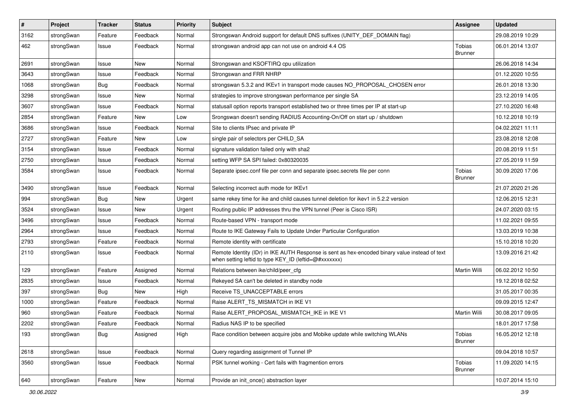| $\vert$ # | Project    | <b>Tracker</b> | <b>Status</b> | <b>Priority</b> | <b>Subject</b>                                                                                                                                          | <b>Assignee</b>                 | <b>Updated</b>   |
|-----------|------------|----------------|---------------|-----------------|---------------------------------------------------------------------------------------------------------------------------------------------------------|---------------------------------|------------------|
| 3162      | strongSwan | Feature        | Feedback      | Normal          | Strongswan Android support for default DNS suffixes (UNITY DEF DOMAIN flag)                                                                             |                                 | 29.08.2019 10:29 |
| 462       | strongSwan | Issue          | Feedback      | Normal          | strongswan android app can not use on android 4.4 OS                                                                                                    | <b>Tobias</b><br><b>Brunner</b> | 06.01.2014 13:07 |
| 2691      | strongSwan | Issue          | New           | Normal          | Strongswan and KSOFTIRQ cpu utilization                                                                                                                 |                                 | 26.06.2018 14:34 |
| 3643      | strongSwan | Issue          | Feedback      | Normal          | Strongswan and FRR NHRP                                                                                                                                 |                                 | 01.12.2020 10:55 |
| 1068      | strongSwan | Bug            | Feedback      | Normal          | strongswan 5.3.2 and IKEv1 in transport mode causes NO_PROPOSAL_CHOSEN error                                                                            |                                 | 26.01.2018 13:30 |
| 3298      | strongSwan | Issue          | New           | Normal          | strategies to improve strongswan performance per single SA                                                                                              |                                 | 23.12.2019 14:05 |
| 3607      | strongSwan | Issue          | Feedback      | Normal          | statusall option reports transport established two or three times per IP at start-up                                                                    |                                 | 27.10.2020 16:48 |
| 2854      | strongSwan | Feature        | New           | Low             | Srongswan doesn't sending RADIUS Accounting-On/Off on start up / shutdown                                                                               |                                 | 10.12.2018 10:19 |
| 3686      | strongSwan | Issue          | Feedback      | Normal          | Site to clients IPsec and private IP                                                                                                                    |                                 | 04.02.2021 11:11 |
| 2727      | strongSwan | Feature        | New           | Low             | single pair of selectors per CHILD SA                                                                                                                   |                                 | 23.08.2018 12:08 |
| 3154      | strongSwan | Issue          | Feedback      | Normal          | signature validation failed only with sha2                                                                                                              |                                 | 20.08.2019 11:51 |
| 2750      | strongSwan | Issue          | Feedback      | Normal          | setting WFP SA SPI failed: 0x80320035                                                                                                                   |                                 | 27.05.2019 11:59 |
| 3584      | strongSwan | Issue          | Feedback      | Normal          | Separate ipsec.conf file per conn and separate ipsec.secrets file per conn                                                                              | <b>Tobias</b><br><b>Brunner</b> | 30.09.2020 17:06 |
| 3490      | strongSwan | Issue          | Feedback      | Normal          | Selecting incorrect auth mode for IKEv1                                                                                                                 |                                 | 21.07.2020 21:26 |
| 994       | strongSwan | Bug            | New           | Urgent          | same rekey time for ike and child causes tunnel deletion for ikev1 in 5.2.2 version                                                                     |                                 | 12.06.2015 12:31 |
| 3524      | strongSwan | Issue          | New           | Urgent          | Routing public IP addresses thru the VPN tunnel (Peer is Cisco ISR)                                                                                     |                                 | 24.07.2020 03:15 |
| 3496      | strongSwan | Issue          | Feedback      | Normal          | Route-based VPN - transport mode                                                                                                                        |                                 | 11.02.2021 09:55 |
| 2964      | strongSwan | Issue          | Feedback      | Normal          | Route to IKE Gateway Fails to Update Under Particular Configuration                                                                                     |                                 | 13.03.2019 10:38 |
| 2793      | strongSwan | Feature        | Feedback      | Normal          | Remote identity with certificate                                                                                                                        |                                 | 15.10.2018 10:20 |
| 2110      | strongSwan | Issue          | Feedback      | Normal          | Remote Identity (IDr) in IKE AUTH Response is sent as hex-encoded binary value instead of text<br>when setting leftid to type KEY_ID (leftid=@#xxxxxxx) |                                 | 13.09.2016 21:42 |
| 129       | strongSwan | Feature        | Assigned      | Normal          | Relations between ike/child/peer cfg                                                                                                                    | Martin Willi                    | 06.02.2012 10:50 |
| 2835      | strongSwan | Issue          | Feedback      | Normal          | Rekeyed SA can't be deleted in standby node                                                                                                             |                                 | 19.12.2018 02:52 |
| 397       | strongSwan | Bug            | <b>New</b>    | High            | Receive TS_UNACCEPTABLE errors                                                                                                                          |                                 | 31.05.2017 00:35 |
| 1000      | strongSwan | Feature        | Feedback      | Normal          | Raise ALERT TS MISMATCH in IKE V1                                                                                                                       |                                 | 09.09.2015 12:47 |
| 960       | strongSwan | Feature        | Feedback      | Normal          | Raise ALERT PROPOSAL MISMATCH IKE in IKE V1                                                                                                             | Martin Willi                    | 30.08.2017 09:05 |
| 2202      | strongSwan | Feature        | Feedback      | Normal          | Radius NAS IP to be specified                                                                                                                           |                                 | 18.01.2017 17:58 |
| 193       | strongSwan | Bug            | Assigned      | High            | Race condition between acquire jobs and Mobike update while switching WLANs                                                                             | Tobias<br><b>Brunner</b>        | 16.05.2012 12:18 |
| 2618      | strongSwan | Issue          | Feedback      | Normal          | Query regarding assignment of Tunnel IP                                                                                                                 |                                 | 09.04.2018 10:57 |
| 3560      | strongSwan | Issue          | Feedback      | Normal          | PSK tunnel working - Cert fails with fragmention errors                                                                                                 | <b>Tobias</b><br><b>Brunner</b> | 11.09.2020 14:15 |
| 640       | strongSwan | Feature        | New           | Normal          | Provide an init_once() abstraction layer                                                                                                                |                                 | 10.07.2014 15:10 |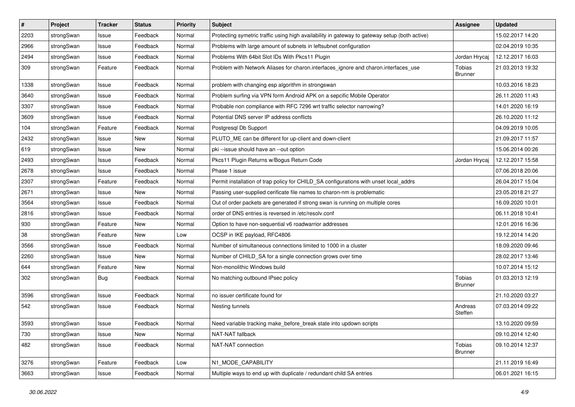| $\vert$ # | Project    | <b>Tracker</b> | <b>Status</b> | Priority | <b>Subject</b>                                                                                | <b>Assignee</b>          | <b>Updated</b>   |
|-----------|------------|----------------|---------------|----------|-----------------------------------------------------------------------------------------------|--------------------------|------------------|
| 2203      | strongSwan | Issue          | Feedback      | Normal   | Protecting symetric traffic using high availability in gateway to gateway setup (both active) |                          | 15.02.2017 14:20 |
| 2966      | strongSwan | Issue          | Feedback      | Normal   | Problems with large amount of subnets in leftsubnet configuration                             |                          | 02.04.2019 10:35 |
| 2494      | strongSwan | Issue          | Feedback      | Normal   | Problems With 64bit Slot IDs With Pkcs11 Plugin                                               | Jordan Hrycaj            | 12.12.2017 16:03 |
| 309       | strongSwan | Feature        | Feedback      | Normal   | Problem with Network Aliases for charon.interfaces_ignore and charon.interfaces_use           | Tobias<br><b>Brunner</b> | 21.03.2013 19:32 |
| 1338      | strongSwan | Issue          | Feedback      | Normal   | problem with changing esp algorithm in strongswan                                             |                          | 10.03.2016 18:23 |
| 3640      | strongSwan | Issue          | Feedback      | Normal   | Problem surfing via VPN form Android APK on a sepcific Mobile Operator                        |                          | 26.11.2020 11:43 |
| 3307      | strongSwan | Issue          | Feedback      | Normal   | Probable non compliance with RFC 7296 wrt traffic selector narrowing?                         |                          | 14.01.2020 16:19 |
| 3609      | strongSwan | Issue          | Feedback      | Normal   | Potential DNS server IP address conflicts                                                     |                          | 26.10.2020 11:12 |
| 104       | strongSwan | Feature        | Feedback      | Normal   | Postgresql Db Support                                                                         |                          | 04.09.2019 10:05 |
| 2432      | strongSwan | Issue          | New           | Normal   | PLUTO_ME can be different for up-client and down-client                                       |                          | 21.09.2017 11:57 |
| 619       | strongSwan | Issue          | New           | Normal   | pki --issue should have an --out option                                                       |                          | 15.06.2014 00:26 |
| 2493      | strongSwan | Issue          | Feedback      | Normal   | Pkcs11 Plugin Returns w/Bogus Return Code                                                     | Jordan Hrycaj            | 12.12.2017 15:58 |
| 2678      | strongSwan | Issue          | Feedback      | Normal   | Phase 1 issue                                                                                 |                          | 07.06.2018 20:06 |
| 2307      | strongSwan | Feature        | Feedback      | Normal   | Permit installation of trap policy for CHILD_SA configurations with unset local_addrs         |                          | 26.04.2017 15:04 |
| 2671      | strongSwan | Issue          | New           | Normal   | Passing user-supplied cerificate file names to charon-nm is problematic                       |                          | 23.05.2018 21:27 |
| 3564      | strongSwan | Issue          | Feedback      | Normal   | Out of order packets are generated if strong swan is running on multiple cores                |                          | 16.09.2020 10:01 |
| 2816      | strongSwan | Issue          | Feedback      | Normal   | order of DNS entries is reversed in /etc/resolv.conf                                          |                          | 06.11.2018 10:41 |
| 930       | strongSwan | Feature        | New           | Normal   | Option to have non-sequential v6 roadwarrior addresses                                        |                          | 12.01.2016 16:36 |
| 38        | strongSwan | Feature        | New           | Low      | OCSP in IKE payload, RFC4806                                                                  |                          | 19.12.2014 14:20 |
| 3566      | strongSwan | Issue          | Feedback      | Normal   | Number of simultaneous connections limited to 1000 in a cluster                               |                          | 18.09.2020 09:46 |
| 2260      | strongSwan | Issue          | New           | Normal   | Number of CHILD_SA for a single connection grows over time                                    |                          | 28.02.2017 13:46 |
| 644       | strongSwan | Feature        | New           | Normal   | Non-monolithic Windows build                                                                  |                          | 10.07.2014 15:12 |
| 302       | strongSwan | Bug            | Feedback      | Normal   | No matching outbound IPsec policy                                                             | Tobias<br><b>Brunner</b> | 01.03.2013 12:19 |
| 3596      | strongSwan | Issue          | Feedback      | Normal   | no issuer certificate found for                                                               |                          | 21.10.2020 03:27 |
| 542       | strongSwan | Issue          | Feedback      | Normal   | Nesting tunnels                                                                               | Andreas<br>Steffen       | 07.03.2014 09:22 |
| 3593      | strongSwan | Issue          | Feedback      | Normal   | Need variable tracking make_before_break state into updown scripts                            |                          | 13.10.2020 09:59 |
| 730       | strongSwan | Issue          | New           | Normal   | NAT-NAT fallback                                                                              |                          | 09.10.2014 12:40 |
| 482       | strongSwan | Issue          | Feedback      | Normal   | NAT-NAT connection                                                                            | Tobias<br><b>Brunner</b> | 09.10.2014 12:37 |
| 3276      | strongSwan | Feature        | Feedback      | Low      | N1_MODE_CAPABILITY                                                                            |                          | 21.11.2019 16:49 |
| 3663      | strongSwan | Issue          | Feedback      | Normal   | Multiple ways to end up with duplicate / redundant child SA entries                           |                          | 06.01.2021 16:15 |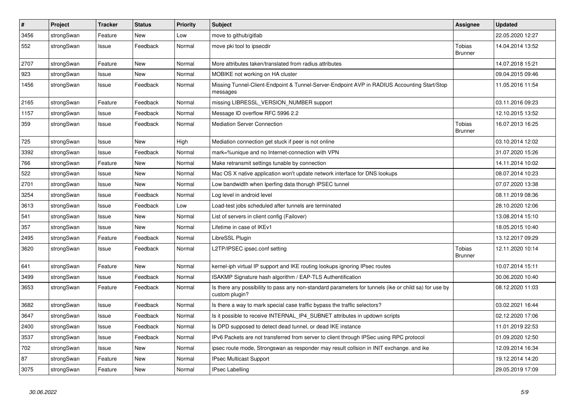| $\pmb{\#}$ | Project    | <b>Tracker</b> | <b>Status</b> | <b>Priority</b> | <b>Subject</b>                                                                                                          | <b>Assignee</b>                 | <b>Updated</b>   |
|------------|------------|----------------|---------------|-----------------|-------------------------------------------------------------------------------------------------------------------------|---------------------------------|------------------|
| 3456       | strongSwan | Feature        | New           | Low             | move to github/gitlab                                                                                                   |                                 | 22.05.2020 12:27 |
| 552        | strongSwan | Issue          | Feedback      | Normal          | move pki tool to ipsecdir                                                                                               | <b>Tobias</b><br><b>Brunner</b> | 14.04.2014 13:52 |
| 2707       | strongSwan | Feature        | <b>New</b>    | Normal          | More attributes taken/translated from radius attributes                                                                 |                                 | 14.07.2018 15:21 |
| 923        | strongSwan | Issue          | New           | Normal          | MOBIKE not working on HA cluster                                                                                        |                                 | 09.04.2015 09:46 |
| 1456       | strongSwan | Issue          | Feedback      | Normal          | Missing Tunnel-Client-Endpoint & Tunnel-Server-Endpoint AVP in RADIUS Accounting Start/Stop<br>messages                 |                                 | 11.05.2016 11:54 |
| 2165       | strongSwan | Feature        | Feedback      | Normal          | missing LIBRESSL_VERSION_NUMBER support                                                                                 |                                 | 03.11.2016 09:23 |
| 1157       | strongSwan | Issue          | Feedback      | Normal          | Message ID overflow RFC 5996 2.2                                                                                        |                                 | 12.10.2015 13:52 |
| 359        | strongSwan | Issue          | Feedback      | Normal          | <b>Mediation Server Connection</b>                                                                                      | Tobias<br><b>Brunner</b>        | 16.07.2013 16:25 |
| 725        | strongSwan | Issue          | New           | High            | Mediation connection get stuck if peer is not online                                                                    |                                 | 03.10.2014 12:02 |
| 3392       | strongSwan | Issue          | Feedback      | Normal          | mark=%unique and no Internet-connection with VPN                                                                        |                                 | 31.07.2020 15:26 |
| 766        | strongSwan | Feature        | <b>New</b>    | Normal          | Make retransmit settings tunable by connection                                                                          |                                 | 14.11.2014 10:02 |
| 522        | strongSwan | Issue          | <b>New</b>    | Normal          | Mac OS X native application won't update network interface for DNS lookups                                              |                                 | 08.07.2014 10:23 |
| 2701       | strongSwan | Issue          | <b>New</b>    | Normal          | Low bandwidth when Iperfing data thorugh IPSEC tunnel                                                                   |                                 | 07.07.2020 13:38 |
| 3254       | strongSwan | Issue          | Feedback      | Normal          | Log level in android level                                                                                              |                                 | 08.11.2019 08:36 |
| 3613       | strongSwan | Issue          | Feedback      | Low             | Load-test jobs scheduled after tunnels are terminated                                                                   |                                 | 28.10.2020 12:06 |
| 541        | strongSwan | Issue          | <b>New</b>    | Normal          | List of servers in client config (Failover)                                                                             |                                 | 13.08.2014 15:10 |
| 357        | strongSwan | Issue          | <b>New</b>    | Normal          | Lifetime in case of IKEv1                                                                                               |                                 | 18.05.2015 10:40 |
| 2495       | strongSwan | Feature        | Feedback      | Normal          | LibreSSL Plugin                                                                                                         |                                 | 13.12.2017 09:29 |
| 3620       | strongSwan | Issue          | Feedback      | Normal          | L2TP/IPSEC ipsec.conf setting                                                                                           | <b>Tobias</b><br><b>Brunner</b> | 12.11.2020 10:14 |
| 641        | strongSwan | Feature        | New           | Normal          | kernel-iph virtual IP support and IKE routing lookups ignoring IPsec routes                                             |                                 | 10.07.2014 15:11 |
| 3499       | strongSwan | Issue          | Feedback      | Normal          | ISAKMP Signature hash algorithm / EAP-TLS Authentification                                                              |                                 | 30.06.2020 10:40 |
| 3653       | strongSwan | Feature        | Feedback      | Normal          | Is there any possibility to pass any non-standard parameters for tunnels (ike or child sa) for use by<br>custom plugin? |                                 | 08.12.2020 11:03 |
| 3682       | strongSwan | Issue          | Feedback      | Normal          | Is there a way to mark special case traffic bypass the traffic selectors?                                               |                                 | 03.02.2021 16:44 |
| 3647       | strongSwan | Issue          | Feedback      | Normal          | Is it possible to receive INTERNAL_IP4_SUBNET attributes in updown scripts                                              |                                 | 02.12.2020 17:06 |
| 2400       | strongSwan | Issue          | Feedback      | Normal          | Is DPD supposed to detect dead tunnel, or dead IKE instance                                                             |                                 | 11.01.2019 22:53 |
| 3537       | strongSwan | Issue          | Feedback      | Normal          | IPv6 Packets are not transferred from server to client through IPSec using RPC protocol                                 |                                 | 01.09.2020 12:50 |
| 702        | strongSwan | Issue          | New           | Normal          | ipsec route mode, Strongswan as responder may result collsion in INIT exchange. and ike                                 |                                 | 12.09.2014 16:34 |
| 87         | strongSwan | Feature        | New           | Normal          | <b>IPsec Multicast Support</b>                                                                                          |                                 | 19.12.2014 14:20 |
| 3075       | strongSwan | Feature        | New           | Normal          | <b>IPsec Labelling</b>                                                                                                  |                                 | 29.05.2019 17:09 |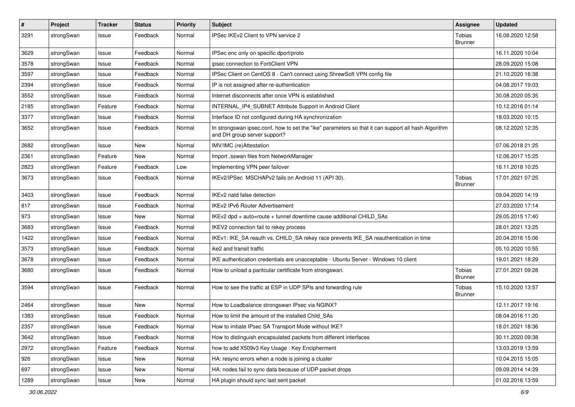| $\sharp$ | Project    | <b>Tracker</b> | <b>Status</b> | <b>Priority</b> | <b>Subject</b>                                                                                                                      | <b>Assignee</b>          | <b>Updated</b>   |
|----------|------------|----------------|---------------|-----------------|-------------------------------------------------------------------------------------------------------------------------------------|--------------------------|------------------|
| 3291     | strongSwan | Issue          | Feedback      | Normal          | IPSec IKEv2 Client to VPN service 2                                                                                                 | Tobias<br><b>Brunner</b> | 16.08.2020 12:58 |
| 3629     | strongSwan | Issue          | Feedback      | Normal          | IPSec enc only on specific dport/proto                                                                                              |                          | 16.11.2020 10:04 |
| 3578     | strongSwan | Issue          | Feedback      | Normal          | ipsec connection to FortiClient VPN                                                                                                 |                          | 28.09.2020 15:08 |
| 3597     | strongSwan | Issue          | Feedback      | Normal          | IPSec Client on CentOS 8 - Can't connect using ShrewSoft VPN config file                                                            |                          | 21.10.2020 16:38 |
| 2394     | strongSwan | Issue          | Feedback      | Normal          | IP is not assigned after re-authentication                                                                                          |                          | 04.08.2017 19:03 |
| 3552     | strongSwan | Issue          | Feedback      | Normal          | Internet disconnects after once VPN is established                                                                                  |                          | 30.08.2020 05:35 |
| 2185     | strongSwan | Feature        | Feedback      | Normal          | INTERNAL_IP4_SUBNET Attribute Support in Android Client                                                                             |                          | 10.12.2016 01:14 |
| 3377     | strongSwan | Issue          | Feedback      | Normal          | Interface ID not configured during HA synchronization                                                                               |                          | 18.03.2020 10:15 |
| 3652     | strongSwan | Issue          | Feedback      | Normal          | In strongswan ipsec.conf, how to set the "ike" parameters so that it can support all hash Algorithm<br>and DH group server support? |                          | 08.12.2020 12:35 |
| 2682     | strongSwan | Issue          | New           | Normal          | IMV/IMC (re)Attestation                                                                                                             |                          | 07.06.2018 21:25 |
| 2361     | strongSwan | Feature        | New           | Normal          | Import .sswan files from NetworkManager                                                                                             |                          | 12.06.2017 15:25 |
| 2823     | strongSwan | Feature        | Feedback      | Low             | Implementing VPN peer failover                                                                                                      |                          | 16.11.2018 10:25 |
| 3673     | strongSwan | Issue          | Feedback      | Normal          | IKEv2/IPSec MSCHAPv2 fails on Android 11 (API 30).                                                                                  | Tobias<br><b>Brunner</b> | 17.01.2021 07:25 |
| 3403     | strongSwan | Issue          | Feedback      | Normal          | IKEv2 natd false detection                                                                                                          |                          | 09.04.2020 14:19 |
| 817      | strongSwan | Issue          | Feedback      | Normal          | IKEv2 IPv6 Router Advertisement                                                                                                     |                          | 27.03.2020 17:14 |
| 973      | strongSwan | Issue          | <b>New</b>    | Normal          | IKEv2 dpd + auto=route + tunnel downtime cause additional CHILD_SAs                                                                 |                          | 29.05.2015 17:40 |
| 3683     | strongSwan | Issue          | Feedback      | Normal          | IKEV2 connection fail to rekey process                                                                                              |                          | 28.01.2021 13:25 |
| 1422     | strongSwan | Issue          | Feedback      | Normal          | IKEv1: IKE_SA reauth vs. CHILD_SA rekey race prevents IKE_SA reauthentication in time                                               |                          | 20.04.2016 15:06 |
| 3573     | strongSwan | Issue          | Feedback      | Normal          | ike2 and transit traffic                                                                                                            |                          | 05.10.2020 10:55 |
| 3678     | strongSwan | Issue          | Feedback      | Normal          | IKE authentication credentials are unacceptable - Ubuntu Server - Windows 10 client                                                 |                          | 19.01.2021 18:29 |
| 3680     | strongSwan | Issue          | Feedback      | Normal          | How to unload a paritcular certificate from strongswan.                                                                             | Tobias<br><b>Brunner</b> | 27.01.2021 09:28 |
| 3594     | strongSwan | Issue          | Feedback      | Normal          | How to see the traffic at ESP in UDP SPIs and forwarding rule                                                                       | Tobias<br><b>Brunner</b> | 15.10.2020 13:57 |
| 2464     | strongSwan | Issue          | New           | Normal          | How to Loadbalance strongswan IPsec via NGINX?                                                                                      |                          | 12.11.2017 19:16 |
| 1383     | strongSwan | Issue          | Feedback      | Normal          | How to limit the amount of the installed Child SAs                                                                                  |                          | 08.04.2016 11:20 |
| 2357     | strongSwan | Issue          | Feedback      | Normal          | How to initiate IPsec SA Transport Mode without IKE?                                                                                |                          | 18.01.2021 18:36 |
| 3642     | strongSwan | Issue          | Feedback      | Normal          | How to distinguish encapsulated packets from different interfaces                                                                   |                          | 30.11.2020 09:38 |
| 2972     | strongSwan | Feature        | Feedback      | Normal          | how to add X509v3 Key Usage: Key Encipherment                                                                                       |                          | 13.03.2019 13:59 |
| 926      | strongSwan | Issue          | New           | Normal          | HA: resync errors when a node is joining a cluster                                                                                  |                          | 10.04.2015 15:05 |
| 697      | strongSwan | Issue          | New           | Normal          | HA: nodes fail to sync data because of UDP packet drops                                                                             |                          | 09.09.2014 14:29 |
| 1289     | strongSwan | Issue          | New           | Normal          | HA plugin should sync last sent packet                                                                                              |                          | 01.02.2016 13:59 |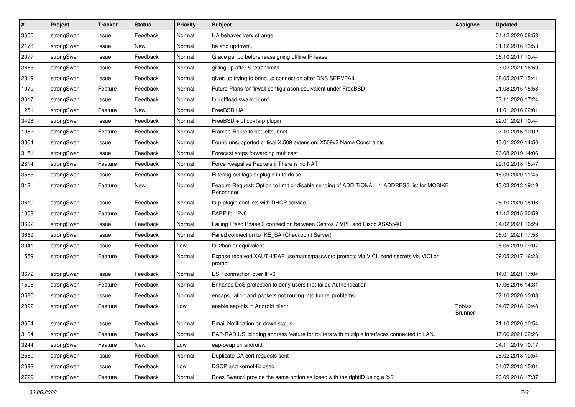| $\pmb{\#}$ | Project    | <b>Tracker</b> | <b>Status</b> | <b>Priority</b> | <b>Subject</b>                                                                                           | <b>Assignee</b>          | <b>Updated</b>   |
|------------|------------|----------------|---------------|-----------------|----------------------------------------------------------------------------------------------------------|--------------------------|------------------|
| 3650       | strongSwan | Issue          | Feedback      | Normal          | HA behaves very strange                                                                                  |                          | 04.12.2020 08:53 |
| 2178       | strongSwan | Issue          | New           | Normal          | ha and updown                                                                                            |                          | 01.12.2016 13:53 |
| 2077       | strongSwan | Issue          | Feedback      | Normal          | Grace period before reassigning offline IP lease                                                         |                          | 06.10.2017 10:44 |
| 3685       | strongSwan | Issue          | Feedback      | Normal          | giving up after 5 retransmits                                                                            |                          | 03.02.2021 16:59 |
| 2319       | strongSwan | Issue          | Feedback      | Normal          | gives up trying to bring up connection after DNS SERVFAIL                                                |                          | 08.05.2017 15:41 |
| 1079       | strongSwan | Feature        | Feedback      | Normal          | Future Plans for firwall configuration equivalent under FreeBSD                                          |                          | 21.08.2015 15:58 |
| 3617       | strongSwan | Issue          | Feedback      | Normal          | full-offload swanctl.conf                                                                                |                          | 03.11.2020 17:24 |
| 1251       | strongSwan | Feature        | New           | Normal          | FreeBSD HA                                                                                               |                          | 11.01.2016 22:01 |
| 3498       | strongSwan | Issue          | Feedback      | Normal          | FreeBSD + dhcp+farp plugin                                                                               |                          | 22.01.2021 10:44 |
| 1082       | strongSwan | Feature        | Feedback      | Normal          | Framed-Route to set leftsubnet                                                                           |                          | 07.10.2016 10:02 |
| 3304       | strongSwan | Issue          | Feedback      | Normal          | Found unsupported critical X.509 extension: X509v3 Name Constraints                                      |                          | 13.01.2020 14:50 |
| 3151       | strongSwan | Issue          | Feedback      | Normal          | Forecast stops forwarding multicast                                                                      |                          | 26.08.2019 14:06 |
| 2814       | strongSwan | Feature        | Feedback      | Normal          | Force Keepalive Packets if There is no NAT                                                               |                          | 29.10.2018 15:47 |
| 3565       | strongSwan | Issue          | Feedback      | Normal          | Filtering out logs or plugin in to do so                                                                 |                          | 16.09.2020 11:45 |
| 312        | strongSwan | Feature        | New           | Normal          | Feature Request: Option to limit or disable sending of ADDITIONAL_*_ADDRESS list for MOBIKE<br>Responder |                          | 13.03.2013 19:19 |
| 3610       | strongSwan | Issue          | Feedback      | Normal          | farp plugin conflicts with DHCP service                                                                  |                          | 26.10.2020 18:06 |
| 1008       | strongSwan | Feature        | Feedback      | Normal          | FARP for IPv6                                                                                            |                          | 14.12.2015 20:59 |
| 3692       | strongSwan | Issue          | Feedback      | Normal          | Failing IPsec Phase 2 connection between Centos 7 VPS and Cisco ASA5540                                  |                          | 04.02.2021 16:29 |
| 3669       | strongSwan | Issue          | Feedback      | Normal          | Failed connection to IKE_SA (Checkpoint Server)                                                          |                          | 08.01.2021 17:58 |
| 3041       | strongSwan | Issue          | Feedback      | Low             | fail2ban or equivalent                                                                                   |                          | 06.05.2019 09:07 |
| 1559       | strongSwan | Feature        | Feedback      | Normal          | Expose received XAUTH/EAP username/password prompts via VICI, send secrets via VICI on<br>prompt         |                          | 09.05.2017 16:28 |
| 3672       | strongSwan | Issue          | Feedback      | Normal          | ESP connection over IPv6                                                                                 |                          | 14.01.2021 17:04 |
| 1506       | strongSwan | Feature        | Feedback      | Normal          | Enhance DoS protection to deny users that failed Authentication                                          |                          | 17.06.2016 14:31 |
| 3580       | strongSwan | Issue          | Feedback      | Normal          | encapsulation and packets not routing into tunnel problems                                               |                          | 02.10.2020 10:03 |
| 2392       | strongSwan | Feature        | Feedback      | Low             | enable eap-ttls in Android client                                                                        | Tobias<br><b>Brunner</b> | 04.07.2018 19:48 |
| 3604       | strongSwan | Issue          | Feedback      | Normal          | Email Notification on down status                                                                        |                          | 21.10.2020 10:54 |
| 3104       | strongSwan | Feature        | Feedback      | Normal          | EAP-RADIUS: binding address feature for routers with multiple interfaces connected to LAN.               |                          | 17.06.2021 02:26 |
| 3244       | strongSwan | Feature        | New           | Low             | eap-peap on android                                                                                      |                          | 04.11.2019 10:17 |
| 2560       | strongSwan | Issue          | Feedback      | Normal          | Duplicate CA cert requests sent                                                                          |                          | 28.02.2018 10:54 |
| 2698       | strongSwan | Issue          | Feedback      | Low             | DSCP and kernel-libipsec                                                                                 |                          | 04.07.2018 15:01 |
| 2729       | strongSwan | Feature        | Feedback      | Normal          | Does Swanctl provide the same option as Ipsec with the rightID using a %?                                |                          | 20.09.2018 17:37 |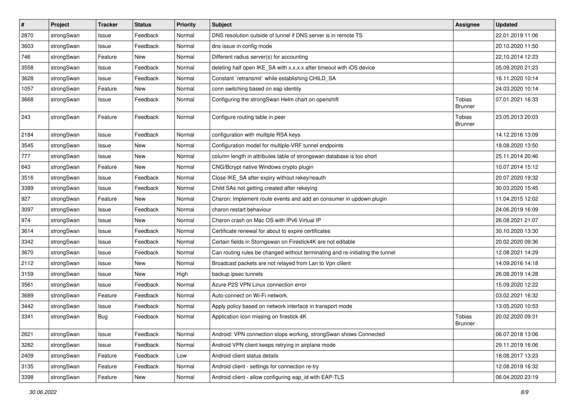| $\vert$ # | Project    | <b>Tracker</b> | <b>Status</b> | Priority | Subject                                                                       | <b>Assignee</b>                 | <b>Updated</b>   |
|-----------|------------|----------------|---------------|----------|-------------------------------------------------------------------------------|---------------------------------|------------------|
| 2870      | strongSwan | Issue          | Feedback      | Normal   | DNS resolution outside of tunnel if DNS server is in remote TS                |                                 | 22.01.2019 11:06 |
| 3603      | strongSwan | Issue          | Feedback      | Normal   | dns issue in config mode                                                      |                                 | 20.10.2020 11:50 |
| 746       | strongSwan | Feature        | New           | Normal   | Different radius server(s) for accounting                                     |                                 | 22.10.2014 12:23 |
| 3558      | strongSwan | Issue          | Feedback      | Normal   | deleting half open IKE_SA with x.x.x.x after timeout with iOS device          |                                 | 05.09.2020 21:23 |
| 3628      | strongSwan | Issue          | Feedback      | Normal   | Constant `retransmit` while establishing CHILD_SA                             |                                 | 16.11.2020 10:14 |
| 1057      | strongSwan | Feature        | New           | Normal   | conn switching based on eap identity                                          |                                 | 24.03.2020 10:14 |
| 3668      | strongSwan | Issue          | Feedback      | Normal   | Configuring the strongSwan Helm chart on openshift                            | <b>Tobias</b><br><b>Brunner</b> | 07.01.2021 16:33 |
| 243       | strongSwan | Feature        | Feedback      | Normal   | Configure routing table in peer                                               | Tobias<br><b>Brunner</b>        | 23.05.2013 20:03 |
| 2184      | strongSwan | Issue          | Feedback      | Normal   | configuration with multiple RSA keys                                          |                                 | 14.12.2016 13:09 |
| 3545      | strongSwan | Issue          | <b>New</b>    | Normal   | Configuration model for multiple-VRF tunnel endpoints                         |                                 | 18.08.2020 13:50 |
| 777       | strongSwan | Issue          | New           | Normal   | column length in attributes table of strongswan database is too short         |                                 | 25.11.2014 20:46 |
| 643       | strongSwan | Feature        | New           | Normal   | CNG/Bcrypt native Windows crypto plugin                                       |                                 | 10.07.2014 15:12 |
| 3516      | strongSwan | Issue          | Feedback      | Normal   | Close IKE_SA after expiry without rekey/reauth                                |                                 | 20.07.2020 19:32 |
| 3389      | strongSwan | Issue          | Feedback      | Normal   | Child SAs not getting created after rekeying                                  |                                 | 30.03.2020 15:45 |
| 927       | strongSwan | Feature        | New           | Normal   | Charon: Implement route events and add an consumer in updown plugin           |                                 | 11.04.2015 12:02 |
| 3097      | strongSwan | Issue          | Feedback      | Normal   | charon restart behaviour                                                      |                                 | 24.06.2019 16:09 |
| 974       | strongSwan | Issue          | New           | Normal   | Charon crash on Mac OS with IPv6 Virtual IP                                   |                                 | 26.08.2021 21:07 |
| 3614      | strongSwan | Issue          | Feedback      | Normal   | Certificate renewal for about to expire certificates                          |                                 | 30.10.2020 13:30 |
| 3342      | strongSwan | Issue          | Feedback      | Normal   | Certain fields in Storngswan on Firestick4K are not editable                  |                                 | 20.02.2020 09:36 |
| 3670      | strongSwan | Issue          | Feedback      | Normal   | Can routing rules be changed without terminating and re-initiating the tunnel |                                 | 12.08.2021 14:29 |
| 2112      | strongSwan | Issue          | New           | Normal   | Broadcast packets are not relayed from Lan to Vpn clilent                     |                                 | 14.09.2016 14:18 |
| 3159      | strongSwan | Issue          | New           | High     | backup ipsec tunnels                                                          |                                 | 26.08.2019 14:28 |
| 3561      | strongSwan | Issue          | Feedback      | Normal   | Azure P2S VPN Linux connection error                                          |                                 | 15.09.2020 12:22 |
| 3689      | strongSwan | Feature        | Feedback      | Normal   | Auto-connect on Wi-Fi network.                                                |                                 | 03.02.2021 16:32 |
| 3442      | strongSwan | Issue          | Feedback      | Normal   | Apply policy based on network interface in transport mode                     |                                 | 13.05.2020 10:53 |
| 3341      | strongSwan | Bug            | Feedback      | Normal   | Application Icon missing on firestick 4K                                      | Tobias<br><b>Brunner</b>        | 20.02.2020 09:31 |
| 2621      | strongSwan | Issue          | Feedback      | Normal   | Android: VPN connection stops working, strongSwan shows Connected             |                                 | 06.07.2018 13:06 |
| 3282      | strongSwan | Issue          | Feedback      | Normal   | Android VPN client keeps retrying in airplane mode                            |                                 | 29.11.2019 16:06 |
| 2409      | strongSwan | Feature        | Feedback      | Low      | Android client status details                                                 |                                 | 18.08.2017 13:23 |
| 3135      | strongSwan | Feature        | Feedback      | Normal   | Android client - settings for connection re-try                               |                                 | 12.08.2019 16:32 |
| 3398      | strongSwan | Feature        | New           | Normal   | Android client - allow configuring eap_id with EAP-TLS                        |                                 | 06.04.2020 23:19 |